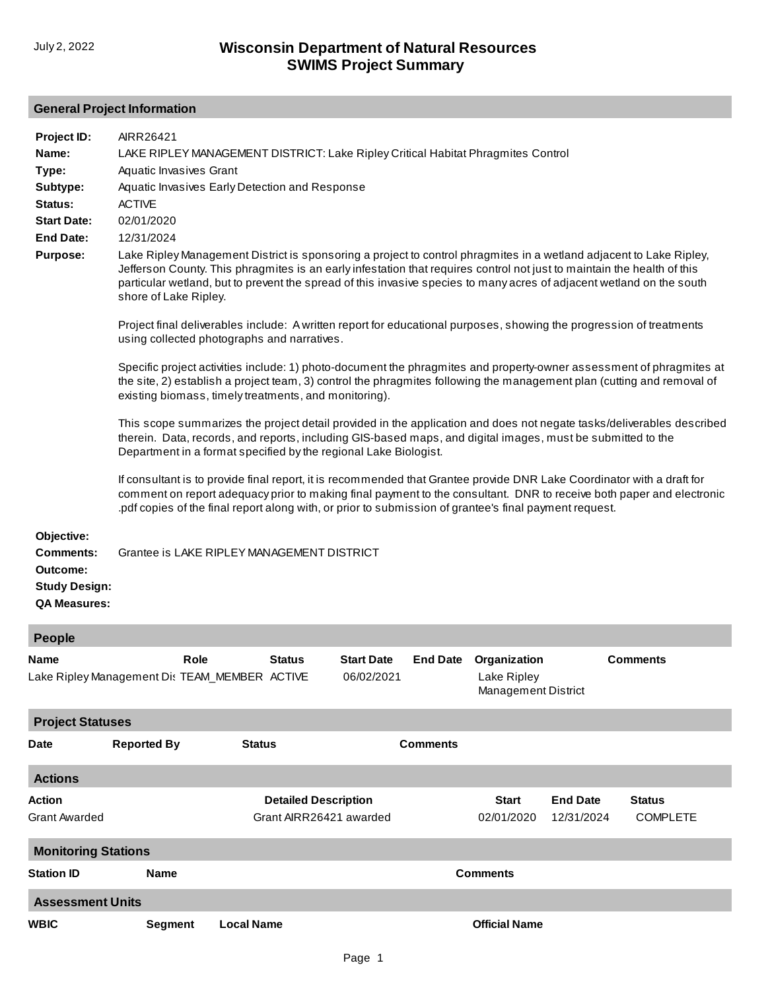## **General Project Information**

| Project ID:<br>Name:<br>Type:<br>Subtype:<br>Status:<br><b>Start Date:</b><br><b>End Date:</b><br><b>Purpose:</b> | AIRR26421<br>LAKE RIPLEY MANAGEMENT DISTRICT: Lake Ripley Critical Habitat Phragmites Control<br>Aquatic Invasives Grant<br>Aquatic Invasives Early Detection and Response<br><b>ACTIVE</b><br>02/01/2020<br>12/31/2024<br>Lake Ripley Management District is sponsoring a project to control phragmites in a wetland adjacent to Lake Ripley,<br>Jefferson County. This phragmites is an early infestation that requires control not just to maintain the health of this<br>particular wetland, but to prevent the spread of this invasive species to many acres of adjacent wetland on the south<br>shore of Lake Ripley.<br>Project final deliverables include: A written report for educational purposes, showing the progression of treatments<br>using collected photographs and narratives.<br>Specific project activities include: 1) photo-document the phragmites and property-owner assessment of phragmites at<br>the site, 2) establish a project team, 3) control the phragmites following the management plan (cutting and removal of<br>existing biomass, timely treatments, and monitoring).<br>This scope summarizes the project detail provided in the application and does not negate tasks/deliverables described<br>therein. Data, records, and reports, including GIS-based maps, and digital images, must be submitted to the<br>Department in a format specified by the regional Lake Biologist.<br>If consultant is to provide final report, it is recommended that Grantee provide DNR Lake Coordinator with a draft for<br>comment on report adequacy prior to making final payment to the consultant. DNR to receive both paper and electronic |
|-------------------------------------------------------------------------------------------------------------------|-----------------------------------------------------------------------------------------------------------------------------------------------------------------------------------------------------------------------------------------------------------------------------------------------------------------------------------------------------------------------------------------------------------------------------------------------------------------------------------------------------------------------------------------------------------------------------------------------------------------------------------------------------------------------------------------------------------------------------------------------------------------------------------------------------------------------------------------------------------------------------------------------------------------------------------------------------------------------------------------------------------------------------------------------------------------------------------------------------------------------------------------------------------------------------------------------------------------------------------------------------------------------------------------------------------------------------------------------------------------------------------------------------------------------------------------------------------------------------------------------------------------------------------------------------------------------------------------------------------------------------------------------------------------------------|
| Objective:<br><b>Comments:</b>                                                                                    | pdf copies of the final report along with, or prior to submission of grantee's final payment request.<br>Grantee is LAKE RIPLEY MANAGEMENT DISTRICT                                                                                                                                                                                                                                                                                                                                                                                                                                                                                                                                                                                                                                                                                                                                                                                                                                                                                                                                                                                                                                                                                                                                                                                                                                                                                                                                                                                                                                                                                                                         |
| Outcome:<br><b>Study Design:</b><br><b>QA Measures:</b>                                                           |                                                                                                                                                                                                                                                                                                                                                                                                                                                                                                                                                                                                                                                                                                                                                                                                                                                                                                                                                                                                                                                                                                                                                                                                                                                                                                                                                                                                                                                                                                                                                                                                                                                                             |

| <b>People</b>                         |                                                                                                                                                                                    |                   |                                                        |  |                 |                            |                               |                                  |  |  |
|---------------------------------------|------------------------------------------------------------------------------------------------------------------------------------------------------------------------------------|-------------------|--------------------------------------------------------|--|-----------------|----------------------------|-------------------------------|----------------------------------|--|--|
| Name                                  | Role<br><b>Status</b><br><b>Start Date</b><br><b>End Date</b><br>Organization<br>Lake Ripley Management Dis TEAM_MEMBER ACTIVE<br>06/02/2021<br>Lake Ripley<br>Management District |                   |                                                        |  | <b>Comments</b> |                            |                               |                                  |  |  |
| <b>Project Statuses</b>               |                                                                                                                                                                                    |                   |                                                        |  |                 |                            |                               |                                  |  |  |
| <b>Date</b>                           | <b>Reported By</b>                                                                                                                                                                 | <b>Status</b>     |                                                        |  | <b>Comments</b> |                            |                               |                                  |  |  |
| <b>Actions</b>                        |                                                                                                                                                                                    |                   |                                                        |  |                 |                            |                               |                                  |  |  |
| <b>Action</b><br><b>Grant Awarded</b> |                                                                                                                                                                                    |                   | <b>Detailed Description</b><br>Grant AIRR26421 awarded |  |                 | <b>Start</b><br>02/01/2020 | <b>End Date</b><br>12/31/2024 | <b>Status</b><br><b>COMPLETE</b> |  |  |
| <b>Monitoring Stations</b>            |                                                                                                                                                                                    |                   |                                                        |  |                 |                            |                               |                                  |  |  |
| <b>Station ID</b>                     | <b>Name</b>                                                                                                                                                                        |                   | <b>Comments</b>                                        |  |                 |                            |                               |                                  |  |  |
| <b>Assessment Units</b>               |                                                                                                                                                                                    |                   |                                                        |  |                 |                            |                               |                                  |  |  |
| <b>WBIC</b>                           | Segment                                                                                                                                                                            | <b>Local Name</b> |                                                        |  |                 | <b>Official Name</b>       |                               |                                  |  |  |